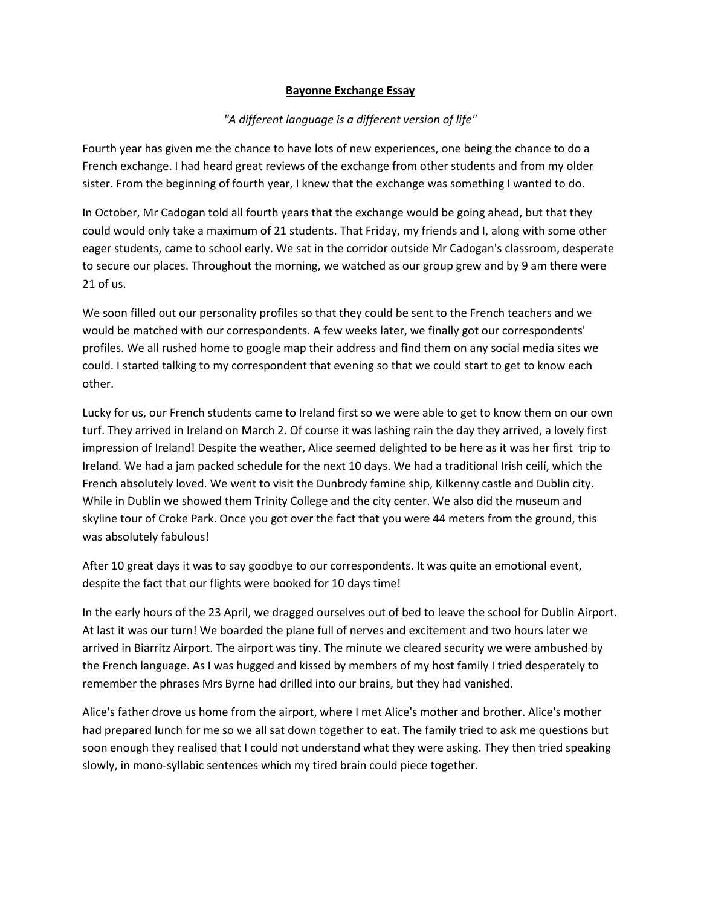## **Bayonne Exchange Essay**

## *"A different language is a different version of life"*

Fourth year has given me the chance to have lots of new experiences, one being the chance to do a French exchange. I had heard great reviews of the exchange from other students and from my older sister. From the beginning of fourth year, I knew that the exchange was something I wanted to do.

In October, Mr Cadogan told all fourth years that the exchange would be going ahead, but that they could would only take a maximum of 21 students. That Friday, my friends and I, along with some other eager students, came to school early. We sat in the corridor outside Mr Cadogan's classroom, desperate to secure our places. Throughout the morning, we watched as our group grew and by 9 am there were 21 of us.

We soon filled out our personality profiles so that they could be sent to the French teachers and we would be matched with our correspondents. A few weeks later, we finally got our correspondents' profiles. We all rushed home to google map their address and find them on any social media sites we could. I started talking to my correspondent that evening so that we could start to get to know each other.

Lucky for us, our French students came to Ireland first so we were able to get to know them on our own turf. They arrived in Ireland on March 2. Of course it was lashing rain the day they arrived, a lovely first impression of Ireland! Despite the weather, Alice seemed delighted to be here as it was her first trip to Ireland. We had a jam packed schedule for the next 10 days. We had a traditional Irish ceilí, which the French absolutely loved. We went to visit the Dunbrody famine ship, Kilkenny castle and Dublin city. While in Dublin we showed them Trinity College and the city center. We also did the museum and skyline tour of Croke Park. Once you got over the fact that you were 44 meters from the ground, this was absolutely fabulous!

After 10 great days it was to say goodbye to our correspondents. It was quite an emotional event, despite the fact that our flights were booked for 10 days time!

In the early hours of the 23 April, we dragged ourselves out of bed to leave the school for Dublin Airport. At last it was our turn! We boarded the plane full of nerves and excitement and two hours later we arrived in Biarritz Airport. The airport was tiny. The minute we cleared security we were ambushed by the French language. As I was hugged and kissed by members of my host family I tried desperately to remember the phrases Mrs Byrne had drilled into our brains, but they had vanished.

Alice's father drove us home from the airport, where I met Alice's mother and brother. Alice's mother had prepared lunch for me so we all sat down together to eat. The family tried to ask me questions but soon enough they realised that I could not understand what they were asking. They then tried speaking slowly, in mono-syllabic sentences which my tired brain could piece together.